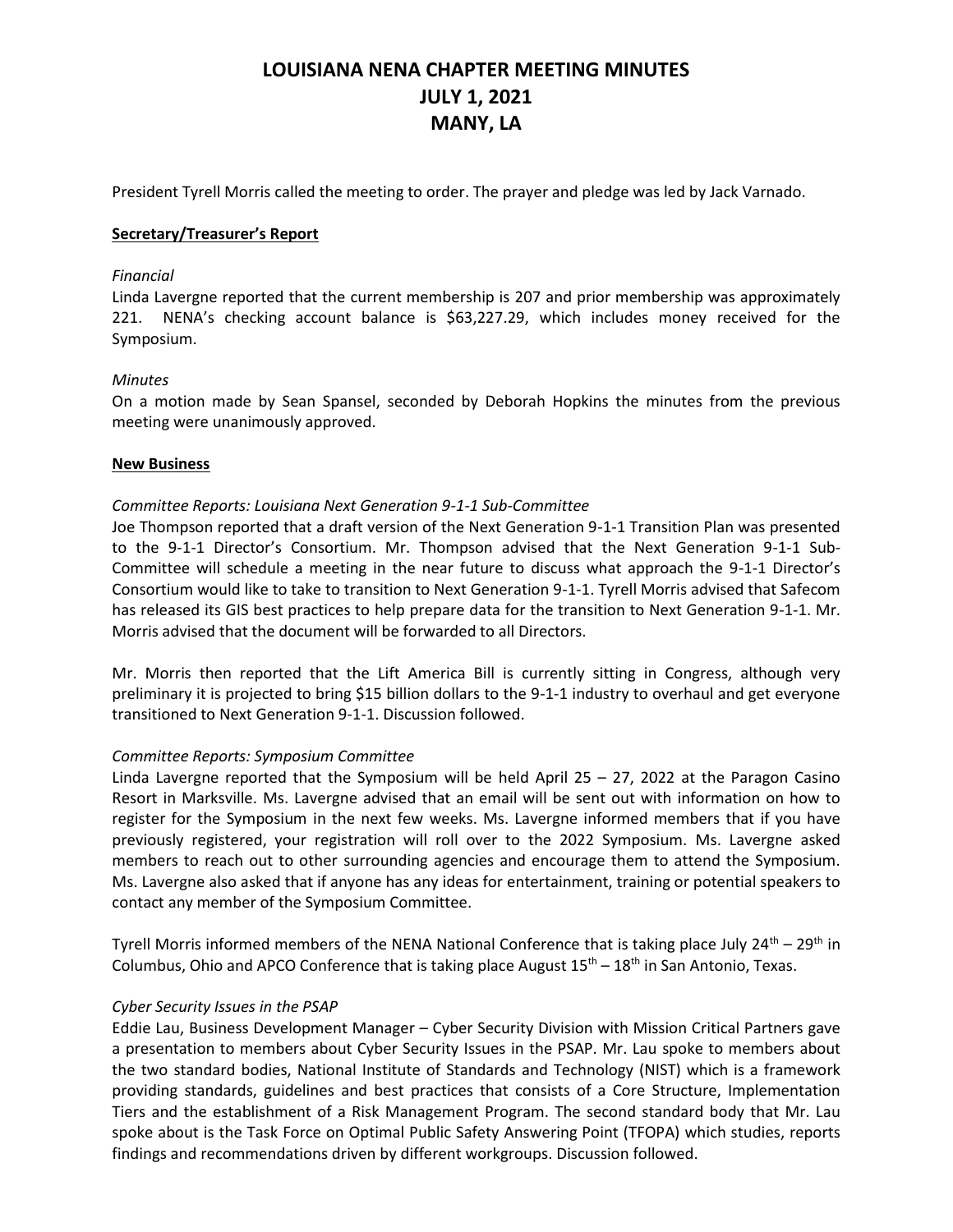# **LOUISIANA NENA CHAPTER MEETING MINUTES JULY 1, 2021 MANY, LA**

President Tyrell Morris called the meeting to order. The prayer and pledge was led by Jack Varnado.

### **Secretary/Treasurer's Report**

#### *Financial*

Linda Lavergne reported that the current membership is 207 and prior membership was approximately 221. NENA's checking account balance is \$63,227.29, which includes money received for the Symposium.

### *Minutes*

On a motion made by Sean Spansel, seconded by Deborah Hopkins the minutes from the previous meeting were unanimously approved.

### **New Business**

### *Committee Reports: Louisiana Next Generation 9-1-1 Sub-Committee*

Joe Thompson reported that a draft version of the Next Generation 9-1-1 Transition Plan was presented to the 9-1-1 Director's Consortium. Mr. Thompson advised that the Next Generation 9-1-1 Sub-Committee will schedule a meeting in the near future to discuss what approach the 9-1-1 Director's Consortium would like to take to transition to Next Generation 9-1-1. Tyrell Morris advised that Safecom has released its GIS best practices to help prepare data for the transition to Next Generation 9-1-1. Mr. Morris advised that the document will be forwarded to all Directors.

Mr. Morris then reported that the Lift America Bill is currently sitting in Congress, although very preliminary it is projected to bring \$15 billion dollars to the 9-1-1 industry to overhaul and get everyone transitioned to Next Generation 9-1-1. Discussion followed.

#### *Committee Reports: Symposium Committee*

Linda Lavergne reported that the Symposium will be held April  $25 - 27$ , 2022 at the Paragon Casino Resort in Marksville. Ms. Lavergne advised that an email will be sent out with information on how to register for the Symposium in the next few weeks. Ms. Lavergne informed members that if you have previously registered, your registration will roll over to the 2022 Symposium. Ms. Lavergne asked members to reach out to other surrounding agencies and encourage them to attend the Symposium. Ms. Lavergne also asked that if anyone has any ideas for entertainment, training or potential speakers to contact any member of the Symposium Committee.

Tyrell Morris informed members of the NENA National Conference that is taking place July  $24^{th} - 29^{th}$  in Columbus, Ohio and APCO Conference that is taking place August  $15<sup>th</sup> - 18<sup>th</sup>$  in San Antonio, Texas.

## *Cyber Security Issues in the PSAP*

Eddie Lau, Business Development Manager – Cyber Security Division with Mission Critical Partners gave a presentation to members about Cyber Security Issues in the PSAP. Mr. Lau spoke to members about the two standard bodies, National Institute of Standards and Technology (NIST) which is a framework providing standards, guidelines and best practices that consists of a Core Structure, Implementation Tiers and the establishment of a Risk Management Program. The second standard body that Mr. Lau spoke about is the Task Force on Optimal Public Safety Answering Point (TFOPA) which studies, reports findings and recommendations driven by different workgroups. Discussion followed.